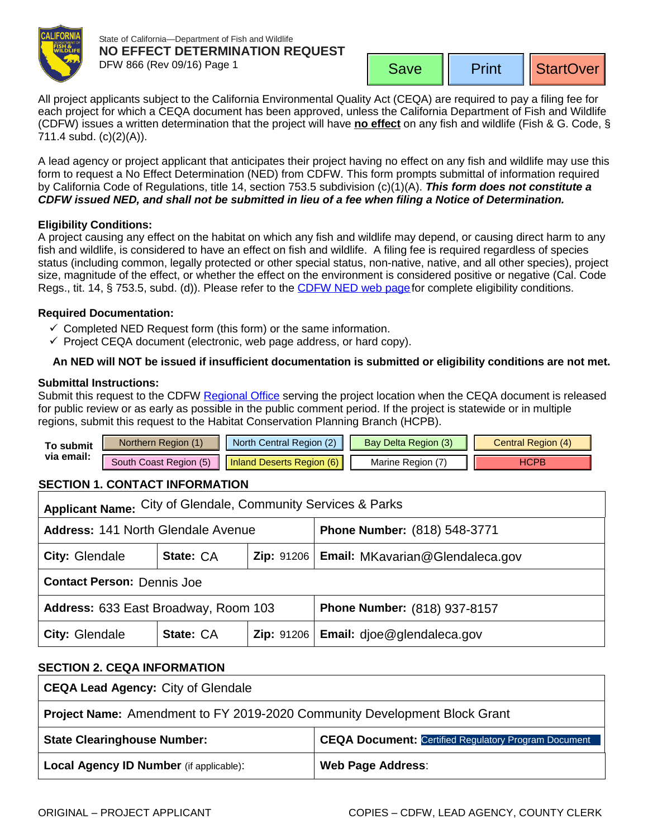

State of California—Department of Fish and Wildlife **NO EFFECT DETERMINATION REQUEST** DFW 866 (Rev 09/16) Page 1

Print | StartOver

<span id="page-0-0"></span>All project applicants subject to the California Environmental Quality Act (CEQA) are required to pay a filing fee for each project for which a CEQA document has been approved, unless the California Department of Fish and Wildlife (CDFW) issues a written determination that the project will have **no effect** on any fish and wildlife (Fish & G. Code, § 711.4 subd. (c)(2)(A)).

A lead agency or project applicant that anticipates their project having no effect on any fish and wildlife may use this form to request a No Effect Determination (NED) from CDFW. This form prompts submittal of information required by California Code of Regulations, title 14, section 753.5 subdivision (c)(1)(A). *This form does not constitute a CDFW issued NED, and shall not be submitted in lieu of a fee when filing a Notice of Determination.*

## **Eligibility Conditions:**

A project causing any effect on the habitat on which any fish and wildlife may depend, or causing direct harm to any fish and wildlife, is considered to have an effect on fish and wildlife. A filing fee is required regardless of species status (including common, legally protected or other special status, non-native, native, and all other species), project size, magnitude of the effect, or whether the effect on the environment is considered positive or negative (Cal. Code Regs., tit. 14, § 753.5, subd. (d)). Please refer to the CDFW [NED web page](https://www.wildlife.ca.gov/Conservation/CEQA/NED) for complete eligibility conditions.

## **Required Documentation:**

- $\checkmark$  Completed NED Request form (this form) or the same information.
- $\checkmark$  Project CEQA document (electronic, web page address, or hard copy).

# **An NED will NOT be issued if insufficient documen[tation is submi](mailto:AskRegion6@wildlife.ca.gov?subject=NED%20Request%20Inland%20Deserts%20Region)tted or eligibility conditions are not met.**

### **Submittal Instructions:**

Submit this request to the CDFW [Regional Office](https://www.wildlife.ca.gov/Regions) serving the project location when the CEQA document is released for public review or as early as possible in the public comment period. If the project is statewide or in multiple regions, submit this request to the [Habitat Conservation Planning Branch](mailto:CEQA@wildlife.ca.gov) (HCPB).

| Го submit  | Northern Region (1)    | North Central Region (2)  | <b>Bay Delta Region (3)</b> | Central Region (4) |
|------------|------------------------|---------------------------|-----------------------------|--------------------|
| via email: | South Coast Region (5) | Inland Deserts Region (6) | Marine Region (             | ⊣CPB               |

# **SECTION 1. CONTACT INFORMATION**

| Applicant Name: City of Glendale, Community Services & Parks |           |  |                                              |  |  |  |
|--------------------------------------------------------------|-----------|--|----------------------------------------------|--|--|--|
| <b>Address: 141 North Glendale Avenue</b>                    |           |  | Phone Number: (818) 548-3771                 |  |  |  |
| City: Glendale                                               | State: CA |  | Zip: 91206   Email: MKavarian@Glendaleca.gov |  |  |  |
| <b>Contact Person: Dennis Joe</b>                            |           |  |                                              |  |  |  |
| Address: 633 East Broadway, Room 103                         |           |  | <b>Phone Number: (818) 937-8157</b>          |  |  |  |
| City: Glendale                                               | State: CA |  | Zip: 91206   Email: djoe@glendaleca.gov      |  |  |  |

### **SECTION 2. CEQA INFORMATION**

| <b>CEQA Lead Agency: City of Glendale</b>                                 |                                                             |  |  |  |
|---------------------------------------------------------------------------|-------------------------------------------------------------|--|--|--|
| Project Name: Amendment to FY 2019-2020 Community Development Block Grant |                                                             |  |  |  |
| <b>State Clearinghouse Number:</b>                                        | <b>CEQA Document: Certified Regulatory Program Document</b> |  |  |  |
| <b>Local Agency ID Number</b> (if applicable):                            | <b>Web Page Address:</b>                                    |  |  |  |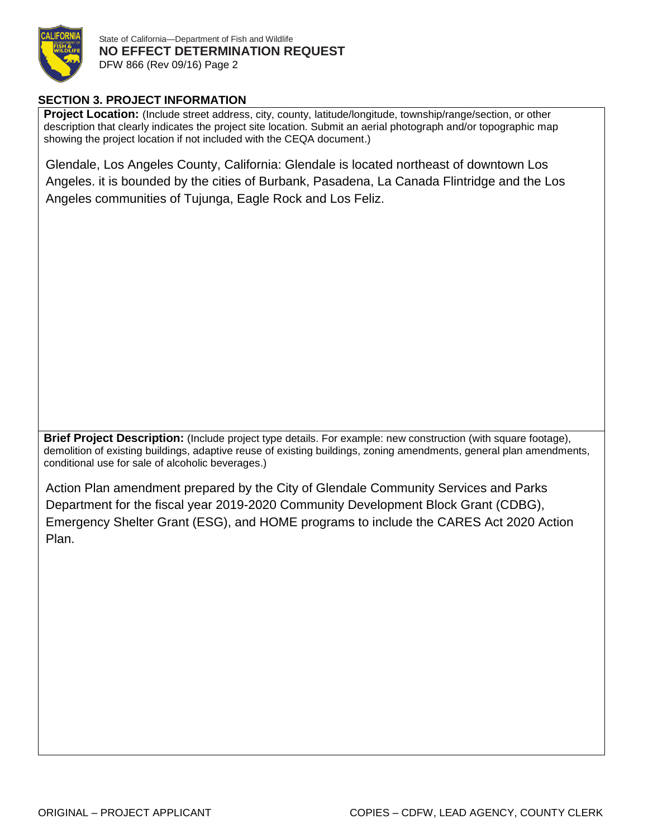

# **SECTION 3. PROJECT INFORMATION**

**Project Location:** (Include street address, city, county, latitude/longitude, township/range/section, or other description that clearly indicates the project site location. Submit an aerial photograph and/or topographic map showing the project location if not included with the CEQA document.)

Glendale, Los Angeles County, California: Glendale is located northeast of downtown Los Angeles. it is bounded by the cities of Burbank, Pasadena, La Canada Flintridge and the Los Angeles communities of Tujunga, Eagle Rock and Los Feliz.

**Brief Project Description:** (Include project type details. For example: new construction (with square footage), demolition of existing buildings, adaptive reuse of existing buildings, zoning amendments, general plan amendments, conditional use for sale of alcoholic beverages.)

Action Plan amendment prepared by the City of Glendale Community Services and Parks Department for the fiscal year 2019-2020 Community Development Block Grant (CDBG), Emergency Shelter Grant (ESG), and HOME programs to include the CARES Act 2020 Action Plan.